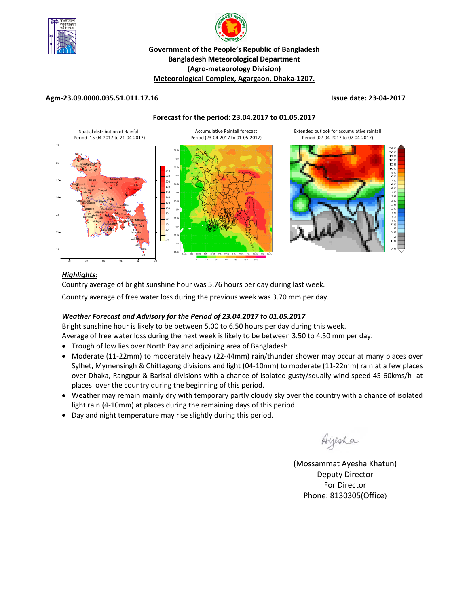



## **Government of the People's Republic of Bangladesh Bangladesh Meteorological Department (Agro‐meteorology Division) Meteorological Complex, Agargaon, Dhaka‐1207.**

### **Agm‐23.09.0000.035.51.011.17.16 Issue date: 23‐04‐2017**

**Forecast for the period: 23.04.2017 to 01.05.2017**





### *Highlights:*

Country average of bright sunshine hour was 5.76 hours per day during last week. Country average of free water loss during the previous week was 3.70 mm per day.

## *Weather Forecast and Advisory for the Period of 23.04.2017 to 01.05.2017*

Bright sunshine hour is likely to be between 5.00 to 6.50 hours per day during this week.

Average of free water loss during the next week is likely to be between 3.50 to 4.50 mm per day.

- Trough of low lies over North Bay and adjoining area of Bangladesh.
- Moderate (11-22mm) to moderately heavy (22-44mm) rain/thunder shower may occur at many places over Sylhet, Mymensingh & Chittagong divisions and light (04‐10mm) to moderate (11‐22mm) rain at a few places over Dhaka, Rangpur & Barisal divisions with a chance of isolated gusty/squally wind speed 45‐60kms/h at places over the country during the beginning of this period.
- Weather may remain mainly dry with temporary partly cloudy sky over the country with a chance of isolated light rain (4‐10mm) at places during the remaining days of this period.
- Day and night temperature may rise slightly during this period.

Ayesha

(Mossammat Ayesha Khatun) Deputy Director For Director Phone: 8130305(Office)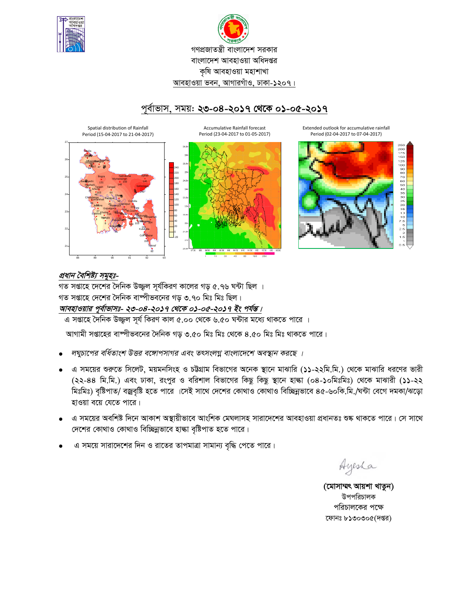



পর্বাভাস, সময়: ২৩-০৪-২০১৭ থেকে ০১-০৫-২০১৭



## প্রধান বৈশিষ্ট্য সমূহঃ-

গত সপ্তাহে দেশের দৈনিক উজ্জুল সর্যকিরণ কালের গড় ৫.৭৬ ঘন্টা ছিল । গত সপ্তাহে দেশের দৈনিক বাষ্পীভবনের গড় ৩.৭০ মিঃ মিঃ ছিল। আবহাওয়ার পূর্বাভাসঃ- ২৩-০৪-২০১৭ থেকে ০১-০৫-২০১৭ ইং পর্যন্ত।

এ সপ্তাহে দৈনিক উজ্জ্বল সূর্য কিরণ কাল ৫.০০ থেকে ৬.৫০ ঘন্টার মধ্যে থাকতে পারে ।

আগামী সপ্তাহের বাষ্পীভবনের দৈনিক গড় ৩.৫০ মিঃ মিঃ থেকে ৪.৫০ মিঃ মিঃ থাকতে পারে।

- লঘুচাপের বর্ধিতাংশ উত্তর বঙ্গোপসাগর এবং তৎসংলগ্ন বাংলাদেশে অবস্থান করছে ।
- এ সময়ের শুরুতে সিলেট, ময়মনসিংহ ও চট্টগ্রাম বিভাগের অনেক স্থানে মাঝারি (১১-২২মি.মি.) থেকে মাঝারি ধরণের ভারী  $\bullet$ (২২-৪৪ মি.মি.) এবং ঢাকা, রংপুর ও বরিশাল বিভাগের কিছু কিছু স্থানে হাল্কা (০৪-১০মিঃমিঃ) থেকে মাঝারী (১১-২২ মিঃমিঃ) বৃষ্টিপাত/ বজ্রবৃষ্টি হতে পারে ।সেই সাথে দেশের কোথাও কোথাও বিচ্ছিন্নভাবে ৪৫-৬০কি.মি./ঘন্টা বেগে দমকা/ঝড়ো হাওয়া বয়ে যেতে পারে।
- এ সময়ের অবশিষ্ট দিনে আকাশ অস্থায়ীভাবে আংশিক মেঘলাসহ সারাদেশের আবহাওয়া প্রধানতঃ শুষ্ক থাকতে পারে। সে সাথে দেশের কোথাও কোথাও বিচ্ছিন্নভাবে হাল্কা বৃষ্টিপাত হতে পারে।
- এ সময়ে সারাদেশের দিন ও রাতের তাপমাত্রা সামান্য বৃদ্ধি পেতে পারে।

Ayesha

(মোসাম্মৎ আয়শা খাতুন) উপপরিচালক পরিচালকের পক্ষে ফোনঃ ৮১৩০৩০৫(দপ্তর)